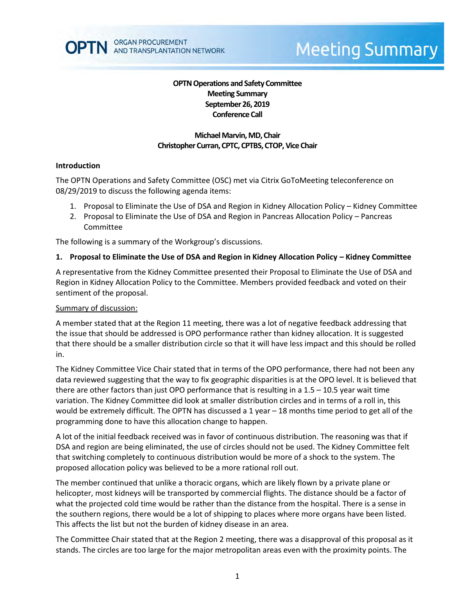

# **Meeting Summary**

# **OPTN Operations and Safety Committee Meeting Summary September 26, 2019 Conference Call**

## **Michael Marvin, MD, Chair Christopher Curran, CPTC, CPTBS, CTOP, Vice Chair**

#### **Introduction**

The OPTN Operations and Safety Committee (OSC) met via Citrix GoToMeeting teleconference on 08/29/2019 to discuss the following agenda items:

- 1. Proposal to Eliminate the Use of DSA and Region in Kidney Allocation Policy Kidney Committee
- 2. Proposal to Eliminate the Use of DSA and Region in Pancreas Allocation Policy Pancreas Committee

The following is a summary of the Workgroup's discussions.

#### **1. Proposal to Eliminate the Use of DSA and Region in Kidney Allocation Policy – Kidney Committee**

A representative from the Kidney Committee presented their Proposal to Eliminate the Use of DSA and Region in Kidney Allocation Policy to the Committee. Members provided feedback and voted on their sentiment of the proposal.

#### Summary of discussion:

A member stated that at the Region 11 meeting, there was a lot of negative feedback addressing that the issue that should be addressed is OPO performance rather than kidney allocation. It is suggested that there should be a smaller distribution circle so that it will have less impact and this should be rolled in.

The Kidney Committee Vice Chair stated that in terms of the OPO performance, there had not been any data reviewed suggesting that the way to fix geographic disparities is at the OPO level. It is believed that there are other factors than just OPO performance that is resulting in a 1.5 – 10.5 year wait time variation. The Kidney Committee did look at smaller distribution circles and in terms of a roll in, this would be extremely difficult. The OPTN has discussed a 1 year – 18 months time period to get all of the programming done to have this allocation change to happen.

A lot of the initial feedback received was in favor of continuous distribution. The reasoning was that if DSA and region are being eliminated, the use of circles should not be used. The Kidney Committee felt that switching completely to continuous distribution would be more of a shock to the system. The proposed allocation policy was believed to be a more rational roll out.

The member continued that unlike a thoracic organs, which are likely flown by a private plane or helicopter, most kidneys will be transported by commercial flights. The distance should be a factor of what the projected cold time would be rather than the distance from the hospital. There is a sense in the southern regions, there would be a lot of shipping to places where more organs have been listed. This affects the list but not the burden of kidney disease in an area.

The Committee Chair stated that at the Region 2 meeting, there was a disapproval of this proposal as it stands. The circles are too large for the major metropolitan areas even with the proximity points. The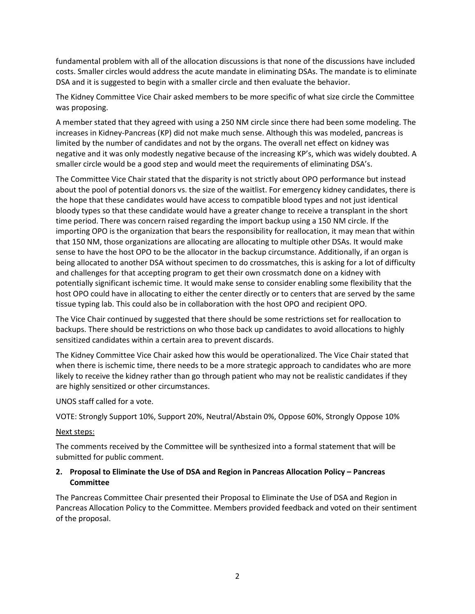fundamental problem with all of the allocation discussions is that none of the discussions have included costs. Smaller circles would address the acute mandate in eliminating DSAs. The mandate is to eliminate DSA and it is suggested to begin with a smaller circle and then evaluate the behavior.

The Kidney Committee Vice Chair asked members to be more specific of what size circle the Committee was proposing.

A member stated that they agreed with using a 250 NM circle since there had been some modeling. The increases in Kidney-Pancreas (KP) did not make much sense. Although this was modeled, pancreas is limited by the number of candidates and not by the organs. The overall net effect on kidney was negative and it was only modestly negative because of the increasing KP's, which was widely doubted. A smaller circle would be a good step and would meet the requirements of eliminating DSA's.

The Committee Vice Chair stated that the disparity is not strictly about OPO performance but instead about the pool of potential donors vs. the size of the waitlist. For emergency kidney candidates, there is the hope that these candidates would have access to compatible blood types and not just identical bloody types so that these candidate would have a greater change to receive a transplant in the short time period. There was concern raised regarding the import backup using a 150 NM circle. If the importing OPO is the organization that bears the responsibility for reallocation, it may mean that within that 150 NM, those organizations are allocating are allocating to multiple other DSAs. It would make sense to have the host OPO to be the allocator in the backup circumstance. Additionally, if an organ is being allocated to another DSA without specimen to do crossmatches, this is asking for a lot of difficulty and challenges for that accepting program to get their own crossmatch done on a kidney with potentially significant ischemic time. It would make sense to consider enabling some flexibility that the host OPO could have in allocating to either the center directly or to centers that are served by the same tissue typing lab. This could also be in collaboration with the host OPO and recipient OPO.

The Vice Chair continued by suggested that there should be some restrictions set for reallocation to backups. There should be restrictions on who those back up candidates to avoid allocations to highly sensitized candidates within a certain area to prevent discards.

The Kidney Committee Vice Chair asked how this would be operationalized. The Vice Chair stated that when there is ischemic time, there needs to be a more strategic approach to candidates who are more likely to receive the kidney rather than go through patient who may not be realistic candidates if they are highly sensitized or other circumstances.

UNOS staff called for a vote.

VOTE: Strongly Support 10%, Support 20%, Neutral/Abstain 0%, Oppose 60%, Strongly Oppose 10%

#### Next steps:

The comments received by the Committee will be synthesized into a formal statement that will be submitted for public comment.

## **2. Proposal to Eliminate the Use of DSA and Region in Pancreas Allocation Policy – Pancreas Committee**

The Pancreas Committee Chair presented their Proposal to Eliminate the Use of DSA and Region in Pancreas Allocation Policy to the Committee. Members provided feedback and voted on their sentiment of the proposal.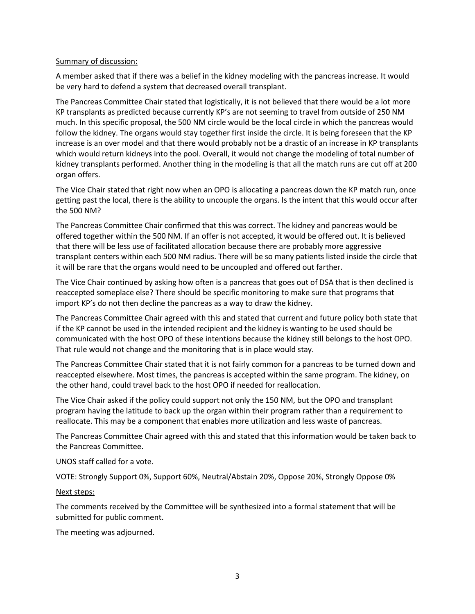#### Summary of discussion:

A member asked that if there was a belief in the kidney modeling with the pancreas increase. It would be very hard to defend a system that decreased overall transplant.

The Pancreas Committee Chair stated that logistically, it is not believed that there would be a lot more KP transplants as predicted because currently KP's are not seeming to travel from outside of 250 NM much. In this specific proposal, the 500 NM circle would be the local circle in which the pancreas would follow the kidney. The organs would stay together first inside the circle. It is being foreseen that the KP increase is an over model and that there would probably not be a drastic of an increase in KP transplants which would return kidneys into the pool. Overall, it would not change the modeling of total number of kidney transplants performed. Another thing in the modeling is that all the match runs are cut off at 200 organ offers.

The Vice Chair stated that right now when an OPO is allocating a pancreas down the KP match run, once getting past the local, there is the ability to uncouple the organs. Is the intent that this would occur after the 500 NM?

The Pancreas Committee Chair confirmed that this was correct. The kidney and pancreas would be offered together within the 500 NM. If an offer is not accepted, it would be offered out. It is believed that there will be less use of facilitated allocation because there are probably more aggressive transplant centers within each 500 NM radius. There will be so many patients listed inside the circle that it will be rare that the organs would need to be uncoupled and offered out farther.

The Vice Chair continued by asking how often is a pancreas that goes out of DSA that is then declined is reaccepted someplace else? There should be specific monitoring to make sure that programs that import KP's do not then decline the pancreas as a way to draw the kidney.

The Pancreas Committee Chair agreed with this and stated that current and future policy both state that if the KP cannot be used in the intended recipient and the kidney is wanting to be used should be communicated with the host OPO of these intentions because the kidney still belongs to the host OPO. That rule would not change and the monitoring that is in place would stay.

The Pancreas Committee Chair stated that it is not fairly common for a pancreas to be turned down and reaccepted elsewhere. Most times, the pancreas is accepted within the same program. The kidney, on the other hand, could travel back to the host OPO if needed for reallocation.

The Vice Chair asked if the policy could support not only the 150 NM, but the OPO and transplant program having the latitude to back up the organ within their program rather than a requirement to reallocate. This may be a component that enables more utilization and less waste of pancreas.

The Pancreas Committee Chair agreed with this and stated that this information would be taken back to the Pancreas Committee.

UNOS staff called for a vote.

VOTE: Strongly Support 0%, Support 60%, Neutral/Abstain 20%, Oppose 20%, Strongly Oppose 0%

#### Next steps:

The comments received by the Committee will be synthesized into a formal statement that will be submitted for public comment.

The meeting was adjourned.